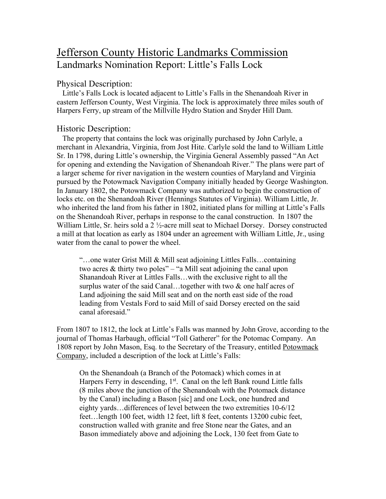# Jefferson County Historic Landmarks Commission Landmarks Nomination Report: Little's Falls Lock

## Physical Description:

 Little's Falls Lock is located adjacent to Little's Falls in the Shenandoah River in eastern Jefferson County, West Virginia. The lock is approximately three miles south of Harpers Ferry, up stream of the Millville Hydro Station and Snyder Hill Dam.

## Historic Description:

 The property that contains the lock was originally purchased by John Carlyle, a merchant in Alexandria, Virginia, from Jost Hite. Carlyle sold the land to William Little Sr. In 1798, during Little's ownership, the Virginia General Assembly passed "An Act for opening and extending the Navigation of Shenandoah River." The plans were part of a larger scheme for river navigation in the western counties of Maryland and Virginia pursued by the Potowmack Navigation Company initially headed by George Washington. In January 1802, the Potowmack Company was authorized to begin the construction of locks etc. on the Shenandoah River (Hennings Statutes of Virginia). William Little, Jr. who inherited the land from his father in 1802, initiated plans for milling at Little's Falls on the Shenandoah River, perhaps in response to the canal construction. In 1807 the William Little, Sr. heirs sold a 2 ½-acre mill seat to Michael Dorsey. Dorsey constructed a mill at that location as early as 1804 under an agreement with William Little, Jr., using water from the canal to power the wheel.

"…one water Grist Mill & Mill seat adjoining Littles Falls…containing two acres & thirty two poles" – "a Mill seat adjoining the canal upon Shanandoah River at Littles Falls…with the exclusive right to all the surplus water of the said Canal…together with two & one half acres of Land adjoining the said Mill seat and on the north east side of the road leading from Vestals Ford to said Mill of said Dorsey erected on the said canal aforesaid."

From 1807 to 1812, the lock at Little's Falls was manned by John Grove, according to the journal of Thomas Harbaugh, official "Toll Gatherer" for the Potomac Company. An 1808 report by John Mason, Esq. to the Secretary of the Treasury, entitled Potowmack Company, included a description of the lock at Little's Falls:

On the Shenandoah (a Branch of the Potomack) which comes in at Harpers Ferry in descending,  $1<sup>st</sup>$ . Canal on the left Bank round Little falls (8 miles above the junction of the Shenandoah with the Potomack distance by the Canal) including a Bason [sic] and one Lock, one hundred and eighty yards…differences of level between the two extremities 10-6/12 feet…length 100 feet, width 12 feet, lift 8 feet, contents 13200 cubic feet, construction walled with granite and free Stone near the Gates, and an Bason immediately above and adjoining the Lock, 130 feet from Gate to